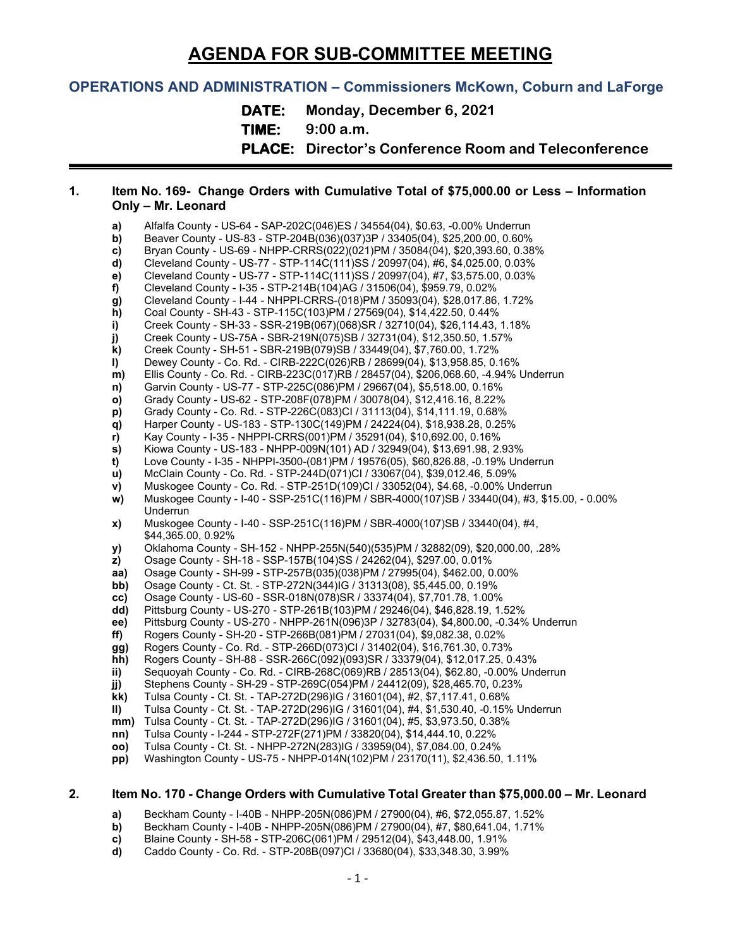# **AGENDA FOR SUB-COMMITTEE MEETING**

## **OPERATIONS AND ADMINISTRATION – Commissioners McKown, Coburn and LaForge**

**DATE: Monday, December 6, 2021**

**TIME: 9:00 a.m.**

**PLACE: Director's Conference Room and Teleconference**

## **1. Item No. 169- Change Orders with Cumulative Total of \$75,000.00 or Less – Information Only – Mr. Leonard**

- **a)** Alfalfa County US-64 SAP-202C(046)ES / 34554(04), \$0.63, -0.00% Underrun<br>**b)** Beaver County US-83 STP-204B(036)(037)3P / 33405(04), \$25,200.00, 0.60% **b)** Beaver County - US-83 - STP-204B(036)(037)3P / 33405(04), \$25,200.00, 0.60%<br> **c)** Bryan County - US-69 - NHPP-CRRS(022)(021)PM / 35084(04), \$20,393.60, 0.38 **c)** Bryan County - US-69 - NHPP-CRRS(022)(021)PM / 35084(04), \$20,393.60, 0.38% **d)** Cleveland County - US-77 - STP-114C(111)SS / 20997(04), #6, \$4,025.00, 0.03%<br>**e)** Cleveland County - US-77 - STP-114C(111)SS / 20997(04), #7, \$3,575.00, 0.03% **e)** Cleveland County - US-77 - STP-114C(111)SS / 20997(04), #7, \$3,575.00, 0.03%<br>**f)** Cleveland County - I-35 - STP-214B(104)AG / 31506(04), \$959.79, 0.02% **f)** Cleveland County - I-35 - STP-214B(104)AG / 31506(04), \$959.79, 0.02% **g)** Cleveland County - I-44 - NHPPI-CRRS-(018)PM / 35093(04), \$28,017.86, 1.72% **h)** Coal County - SH-43 - STP-115C(103)PM / 27569(04), \$14,422.50, 0.44% **i)** Creek County - SH-33 - SSR-219B(067)(068)SR / 32710(04), \$26,114.43, 1.18%<br>**j)** Creek County - US-75A - SBR-219N(075)SB / 32731(04), \$12,350.50, 1.57% **j)** Creek County - US-75A - SBR-219N(075)SB / 32731(04), \$12,350.50, 1.57% **k)** Creek County - SH-51 - SBR-219B(079)SB / 33449(04), \$7,760.00, 1.72% **l)** Dewey County - Co. Rd. - CIRB-222C(026)RB / 28699(04), \$13,958.85, 0.16%<br>**m)** Ellis County - Co. Rd. - CIRB-223C(017)RB / 28457(04), \$206,068.60, -4.94% l **m)** Ellis County - Co. Rd. - CIRB-223C(017)RB / 28457(04), \$206,068.60, -4.94% Underrun **n)** Garvin County - US-77 - STP-225C(086)PM / 29667(04), \$5,518.00, 0.16% **o)** Grady County - US-62 - STP-208F(078)PM / 30078(04), \$12,416.16, 8.22% **p)** Grady County - Co. Rd. - STP-226C(083)CI / 31113(04), \$14,111.19, 0.68% **q)** Harper County - US-183 - STP-130C(149)PM / 24224(04), \$18,938.28, 0.25% **r)** Kay County - I-35 - NHPPI-CRRS(001)PM / 35291(04), \$10,692.00, 0.16% **s)** Kiowa County - US-183 - NHPP-009N(101) AD / 32949(04), \$13,691.98, 2.93% **t)** Love County - I-35 - NHPPI-3500-(081)PM / 19576(05), \$60,826.88, -0.19% Underrun **u)** McClain County - Co. Rd. - STP-244D(071)CI / 33067(04), \$39,012.46, 5.09% **v)** Muskogee County - Co. Rd. - STP-251D(109)CI / 33052(04), \$4.68, -0.00% Underrun **w)** Muskogee County - I-40 - SSP-251C(116)PM / SBR-4000(107)SB / 33440(04), #3, \$15.00, - 0.00% Underrun **x)** Muskogee County - I-40 - SSP-251C(116)PM / SBR-4000(107)SB / 33440(04), #4, \$44,365.00, 0.92% **y)** Oklahoma County - SH-152 - NHPP-255N(540)(535)PM / 32882(09), \$20,000.00, .28% **z)** Osage County - SH-18 - SSP-157B(104)SS / 24262(04), \$297.00, 0.01% **aa)** Osage County - SH-99 - STP-257B(035)(038)PM / 27995(04), \$462.00, 0.00% **bb)** Osage County - Ct. St. - STP-272N(344)IG / 31313(08), \$5,445.00, 0.19%<br> **cc)** Osage County - US-60 - SSR-018N(078)SR / 33374(04), \$7,701.78, 1.00% **cc)** Osage County - US-60 - SSR-018N(078)SR / 33374(04), \$7,701.78, 1.00% **dd)** Pittsburg County - US-270 - STP-261B(103)PM / 29246(04), \$46,828.19, 1.52% **ee)** Pittsburg County - US-270 - NHPP-261N(096)3P / 32783(04), \$4,800.00, -0.34% Underrun **ff)** Rogers County - SH-20 - STP-266B(081)PM / 27031(04), \$9,082.38, 0.02% **gg)** Rogers County - Co. Rd. - STP-266D(073)CI / 31402(04), \$16,761.30, 0.73% **hh)** Rogers County - SH-88 - SSR-266C(092)(093)SR / 33379(04), \$12,017.25, 0.43% **ii)** Sequoyah County - Co. Rd. - CIRB-268C(069)RB / 28513(04), \$62.80, -0.00% Underrun **jj)** Stephens County - SH-29 - STP-269C(054)PM / 24412(09), \$28,465.70, 0.23% **kk)** Tulsa County - Ct. St. - TAP-272D(296)IG / 31601(04), #2, \$7,117.41, 0.68% **II)** Tulsa County - Ct. St. - TAP-272D(296)IG / 31601(04), #4, \$1,530.40, -0.15% Underrun<br>**mm)** Tulsa County - Ct. St. - TAP-272D(296)IG / 31601(04), #5, \$3.973.50, 0.38% **mm)** Tulsa County - Ct. St. - TAP-272D(296)IG / 31601(04), #5, \$3,973.50, 0.38% **nn)** Tulsa County - I-244 - STP-272F(271)PM / 33820(04), \$14,444.10, 0.22% **oo)** Tulsa County - Ct. St. - NHPP-272N(283)IG / 33959(04), \$7,084.00, 0.24% **pp)** Washington County - US-75 - NHPP-014N(102)PM / 23170(11), \$2,436.50, 1.11% **2. Item No. 170 - Change Orders with Cumulative Total Greater than \$75,000.00 – Mr. Leonard**
	- **a)** Beckham County I-40B NHPP-205N(086)PM / 27900(04), #6, \$72,055.87, 1.52%
	- **b)** Beckham County I-40B NHPP-205N(086)PM / 27900(04), #7, \$80,641.04, 1.71%
	- **c)** Blaine County SH-58 STP-206C(061)PM / 29512(04), \$43,448.00, 1.91%
	- **d)** Caddo County Co. Rd. STP-208B(097)CI / 33680(04), \$33,348.30, 3.99%